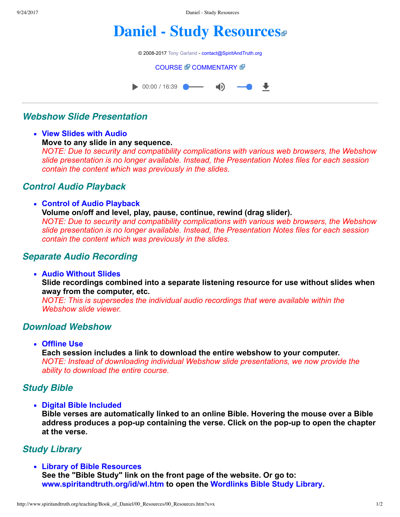9/24/2017 Daniel - Study Resources

# **[Daniel - Study Resources](http://www.spiritandtruth.org/teaching/Book_of_Daniel/00_Resources/index.htm)**

© 2008-2017 [Tony Garland](http://www.spiritandtruth.org/teaching/teachers/tony_garland/bio.htm) - [contact@SpiritAndTruth.org](mailto:contact@SpiritAndTruth.org?subject=ST-MAIL:%20Daniel%20-%20Study%20Resources)

#### **[COURSE](http://www.spiritandtruth.org/teaching/Book_of_Daniel/00_Resources/index.htm)** *T* [COMMENTARY](http://www.spiritandtruth.org/teaching/Book_of_Daniel/commentary/htm/index.html) T



# **Webshow Slide Presentation**

**View Slides with Audio Move to any slide in any sequence.**  *NOTE: Due to security and compatibility complications with various web browsers, the Webshow slide presentation is no longer available. Instead, the Presentation Notes files for each session contain the content which was previously in the slides.*

# **Control Audio Playback**

**Control of Audio Playback Volume on/off and level, play, pause, continue, rewind (drag slider).**  *NOTE: Due to security and compatibility complications with various web browsers, the Webshow slide presentation is no longer available. Instead, the Presentation Notes files for each session contain the content which was previously in the slides.*

#### **Separate Audio Recording**

**Audio Without Slides** 

**Slide recordings combined into a separate listening resource for use without slides when away from the computer, etc.** 

*NOTE: This is supersedes the individual audio recordings that were available within the Webshow slide viewer.*

### **Download Webshow**

**Offline Use** 

**Each session includes a link to download the entire webshow to your computer.**  *NOTE: Instead of downloading individual Webshow slide presentations, we now provide the ability to download the entire course.*

# **Study Bible**

**Digital Bible Included** 

**Bible verses are automatically linked to an online Bible. Hovering the mouse over a Bible** address produces a pop-up containing the verse. Click on the pop-up to open the chapter **at the verse.**

# **Study Library**

**Library of Bible Resources See the "Bible Study" link on the front page of the website. Or go to: [www.spiritandtruth.org/id/wl.htm](http://www.spiritandtruth.org/id/wl.htm) to open the [Wordlinks Bible Study Library](http://www.spiritandtruth.org/id/wl.htm).**